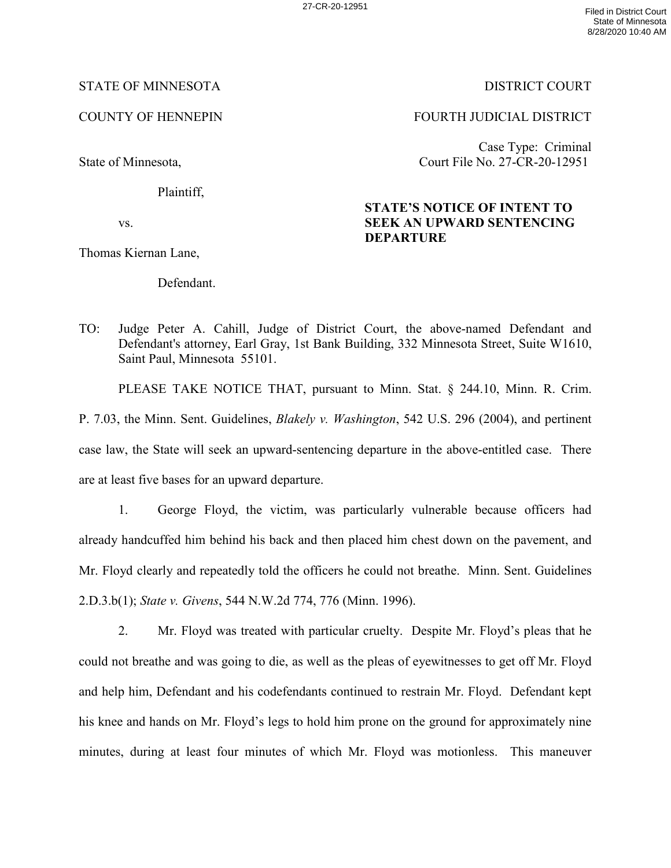27-CR-20-12951 Filed in District Court State of Minnesota 8/28/2020 10:40 AM

## STATE OF MINNESOTA DISTRICT COURT

COUNTY OF HENNEPIN FOURTH JUDICIAL DISTRICT

State of Minnesota,

Plaintiff,

vs.

Thomas Kiernan Lane,

Defendant.

Case Type: Criminal Court File No. 27-CR-20-12951

## **STATE'S NOTICE OF INTENT TO SEEK AN UPWARD SENTENCING DEPARTURE**

TO: Judge Peter A. Cahill, Judge of District Court, the above-named Defendant and Defendant's attorney, Earl Gray, 1st Bank Building, 332 Minnesota Street, Suite W1610, Saint Paul, Minnesota 55101.

PLEASE TAKE NOTICE THAT, pursuant to Minn. Stat. § 244.10, Minn. R. Crim.

P. 7.03, the Minn. Sent. Guidelines, *Blakely v. Washington*, 542 U.S. 296 (2004), and pertinent

case law, the State will seek an upward-sentencing departure in the above-entitled case. There are at least five bases for an upward departure.

 1. George Floyd, the victim, was particularly vulnerable because officers had already handcuffed him behind his back and then placed him chest down on the pavement, and Mr. Floyd clearly and repeatedly told the officers he could not breathe. Minn. Sent. Guidelines 2.D.3.b(1); *State v. Givens*, 544 N.W.2d 774, 776 (Minn. 1996).

 2. Mr. Floyd was treated with particular cruelty. Despite Mr. Floyd's pleas that he could not breathe and was going to die, as well as the pleas of eyewitnesses to get off Mr. Floyd and help him, Defendant and his codefendants continued to restrain Mr. Floyd. Defendant kept his knee and hands on Mr. Floyd's legs to hold him prone on the ground for approximately nine minutes, during at least four minutes of which Mr. Floyd was motionless. This maneuver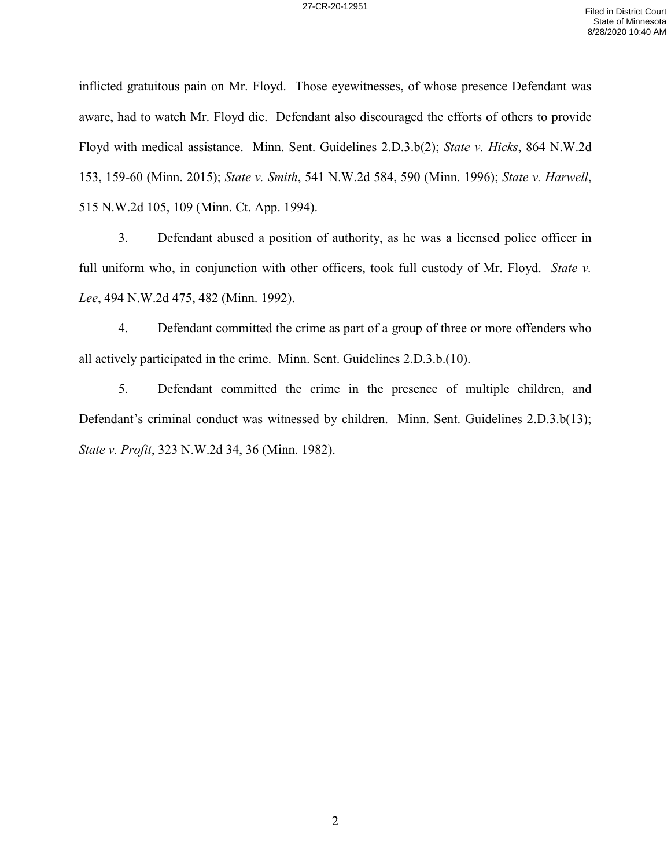inflicted gratuitous pain on Mr. Floyd. Those eyewitnesses, of whose presence Defendant was aware, had to watch Mr. Floyd die. Defendant also discouraged the efforts of others to provide Floyd with medical assistance. Minn. Sent. Guidelines 2.D.3.b(2); *State v. Hicks*, 864 N.W.2d 153, 159-60 (Minn. 2015); *State v. Smith*, 541 N.W.2d 584, 590 (Minn. 1996); *State v. Harwell*, 515 N.W.2d 105, 109 (Minn. Ct. App. 1994).

 3. Defendant abused a position of authority, as he was a licensed police officer in full uniform who, in conjunction with other officers, took full custody of Mr. Floyd. *State v. Lee*, 494 N.W.2d 475, 482 (Minn. 1992).

4. Defendant committed the crime as part of a group of three or more offenders who all actively participated in the crime. Minn. Sent. Guidelines 2.D.3.b.(10).

5. Defendant committed the crime in the presence of multiple children, and Defendant's criminal conduct was witnessed by children. Minn. Sent. Guidelines 2.D.3.b(13); *State v. Profit*, 323 N.W.2d 34, 36 (Minn. 1982).